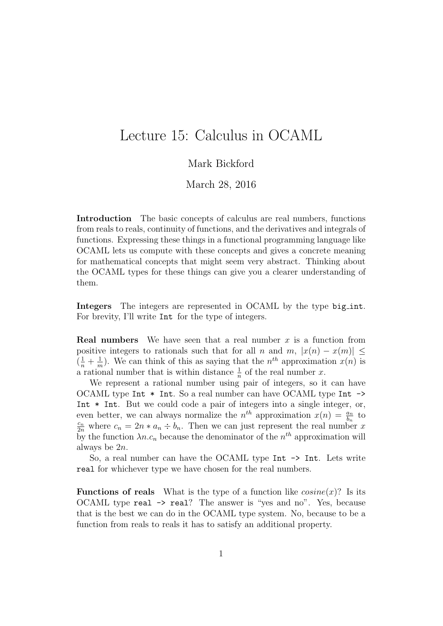# Lecture 15: Calculus in OCAML

## Mark Bickford

March 28, 2016

Introduction The basic concepts of calculus are real numbers, functions from reals to reals, continuity of functions, and the derivatives and integrals of functions. Expressing these things in a functional programming language like OCAML lets us compute with these concepts and gives a concrete meaning for mathematical concepts that might seem very abstract. Thinking about the OCAML types for these things can give you a clearer understanding of them.

Integers The integers are represented in OCAML by the type big int. For brevity, I'll write Int for the type of integers.

**Real numbers** We have seen that a real number x is a function from positive integers to rationals such that for all n and m,  $|x(n) - x(m)| \le$  $\left(\frac{1}{n}+\frac{1}{n}\right)$  $\frac{1}{m}$ ). We can think of this as saying that the  $n^{th}$  approximation  $x(n)$  is a rational number that is within distance  $\frac{1}{n}$  of the real number x.

We represent a rational number using pair of integers, so it can have OCAML type Int \* Int. So a real number can have OCAML type Int -> Int  $*$  Int. But we could code a pair of integers into a single integer, or, even better, we can always normalize the  $n^{th}$  approximation  $x(n) = \frac{a_n}{b_n}$  to  $\frac{c_n}{2n}$  where  $c_n = 2n * a_n \div b_n$ . Then we can just represent the real number x by the function  $\lambda n.c_n$  because the denominator of the  $n<sup>th</sup>$  approximation will always be 2n.

So, a real number can have the OCAML type Int  $\rightarrow$  Int. Lets write real for whichever type we have chosen for the real numbers.

**Functions of reals** What is the type of a function like  $cosine(x)$ ? Is its OCAML type real -> real? The answer is "yes and no". Yes, because that is the best we can do in the OCAML type system. No, because to be a function from reals to reals it has to satisfy an additional property.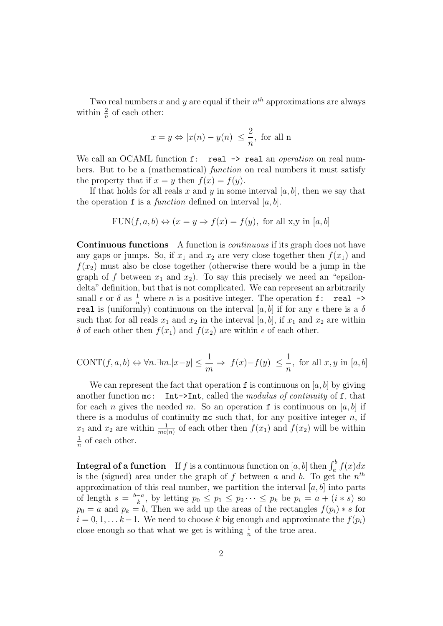Two real numbers x and y are equal if their  $n^{th}$  approximations are always within  $\frac{2}{n}$  of each other:

$$
x = y \Leftrightarrow |x(n) - y(n)| \leq \frac{2}{n}
$$
, for all n

We call an OCAML function  $f:$  real  $\rightarrow$  real an *operation* on real numbers. But to be a (mathematical) function on real numbers it must satisfy the property that if  $x = y$  then  $f(x) = f(y)$ .

If that holds for all reals x and y in some interval  $[a, b]$ , then we say that the operation  $f$  is a *function* defined on interval  $[a, b]$ .

$$
FUN(f, a, b) \Leftrightarrow (x = y \Rightarrow f(x) = f(y), \text{ for all } x, y \text{ in } [a, b]
$$

Continuous functions A function is continuous if its graph does not have any gaps or jumps. So, if  $x_1$  and  $x_2$  are very close together then  $f(x_1)$  and  $f(x_2)$  must also be close together (otherwise there would be a jump in the graph of f between  $x_1$  and  $x_2$ ). To say this precisely we need an "epsilondelta" definition, but that is not complicated. We can represent an arbitrarily small  $\epsilon$  or  $\delta$  as  $\frac{1}{n}$  where *n* is a positive integer. The operation **f**: **real**  $\rightarrow$ real is (uniformly) continuous on the interval [a, b] if for any  $\epsilon$  there is a  $\delta$ such that for all reals  $x_1$  and  $x_2$  in the interval [a, b], if  $x_1$  and  $x_2$  are within δ of each other then  $f(x_1)$  and  $f(x_2)$  are within  $\epsilon$  of each other.

$$
\text{CONT}(f, a, b) \Leftrightarrow \forall n. \exists m. |x - y| \le \frac{1}{m} \Rightarrow |f(x) - f(y)| \le \frac{1}{n}, \text{ for all } x, y \text{ in } [a, b]
$$

We can represent the fact that operation  $f$  is continuous on [a, b] by giving another function  $mc:$  Int->Int, called the modulus of continuity of f, that for each n gives the needed m. So an operation f is continuous on [a, b] if there is a modulus of continuity  $mc$  such that, for any positive integer  $n$ , if  $x_1$  and  $x_2$  are within  $\frac{1}{mc(n)}$  of each other then  $f(x_1)$  and  $f(x_2)$  will be within 1  $\frac{1}{n}$  of each other.

**Integral of a function** If f is a continuous function on  $[a, b]$  then  $\int_a^b f(x)dx$ is the (signed) area under the graph of f between a and b. To get the  $n^{th}$ approximation of this real number, we partition the interval  $[a, b]$  into parts of length  $s = \frac{b-a}{k}$  $\frac{-a}{k}$ , by letting  $p_0 \leq p_1 \leq p_2 \cdots \leq p_k$  be  $p_i = a + (i * s)$  so  $p_0 = a$  and  $p_k = b$ , Then we add up the areas of the rectangles  $f(p_i) * s$  for  $i = 0, 1, \ldots k-1$ . We need to choose k big enough and approximate the  $f(p_i)$ close enough so that what we get is withing  $\frac{1}{n}$  of the true area.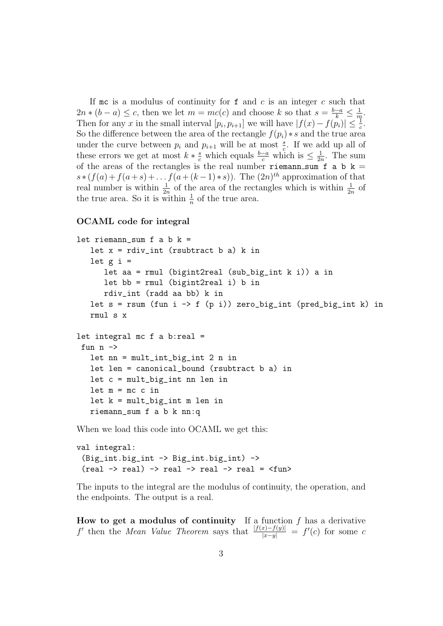If me is a modulus of continuity for  $f$  and  $c$  is an integer  $c$  such that  $2n * (b - a) \leq c$ , then we let  $m = mc(c)$  and choose k so that  $s = \frac{b-a}{k} \leq \frac{1}{m}$  $\frac{1}{m}$ . Then for any x in the small interval  $[p_i, p_{i+1}]$  we will have  $|f(x) - f(p_i)| \leq \frac{1}{c}$ . So the difference between the area of the rectangle  $f(p_i) * s$  and the true area under the curve between  $p_i$  and  $p_{i+1}$  will be at most  $\frac{s}{c}$ . If we add up all of these errors we get at most  $k * \frac{s}{c}$  which equals  $\frac{b-a}{c}$  which is  $\leq \frac{1}{2i}$  $\frac{1}{2n}$ . The sum of the areas of the rectangles is the real number riemann sum f a b  $k =$  $s*(f(a)+f(a+s)+\ldots f(a+(k-1)*s))$ . The  $(2n)^{th}$  approximation of that real number is within  $\frac{1}{2n}$  of the area of the rectangles which is within  $\frac{1}{2n}$  of the true area. So it is within  $\frac{1}{n}$  of the true area.

#### OCAML code for integral

```
let riemann_sum f a b k =let x = rdiv-int (rsubtract b a) k in
   let g i =
      let aa = rmul (bigint2real (sub_big_int k i)) a in
      let bb = rmul (bigint2real i) b in
      rdiv_int (radd aa bb) k in
   let s = rsum (fun i -> f (p i)) zero\_big-int (pred\_big-int k) inrmul s x
let integral mc f a b:real =
 fun n \rightarrowlet nn = mult_int_big_int 2 n in
   let len = canonical_bound (rsubtract b a) in
   let c = mult_big_int nn len in
   let m = mc c inlet k = mult_big_int m len in
   riemann_sum f a b k nn:q
```
When we load this code into OCAML we get this:

```
val integral:
  (Big_int.big_int -> Big_int.big_int) ->
  (\text{real} \rightarrow \text{real}) \rightarrow \text{real} \rightarrow \text{real} \rightarrow \text{real} = \langle \text{fun} \rangle
```
The inputs to the integral are the modulus of continuity, the operation, and the endpoints. The output is a real.

How to get a modulus of continuity If a function  $f$  has a derivative f' then the Mean Value Theorem says that  $\frac{|f(x)-f(y)|}{|x-y|} = f'(c)$  for some c